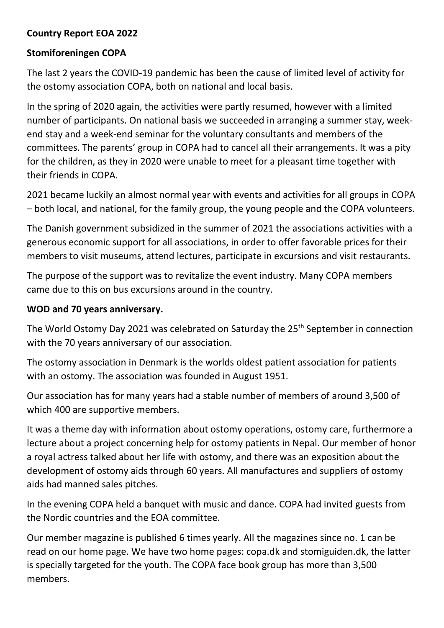## **Country Report EOA 2022**

## **Stomiforeningen COPA**

The last 2 years the COVID-19 pandemic has been the cause of limited level of activity for the ostomy association COPA, both on national and local basis.

In the spring of 2020 again, the activities were partly resumed, however with a limited number of participants. On national basis we succeeded in arranging a summer stay, weekend stay and a week-end seminar for the voluntary consultants and members of the committees. The parents' group in COPA had to cancel all their arrangements. It was a pity for the children, as they in 2020 were unable to meet for a pleasant time together with their friends in COPA.

2021 became luckily an almost normal year with events and activities for all groups in COPA – both local, and national, for the family group, the young people and the COPA volunteers.

The Danish government subsidized in the summer of 2021 the associations activities with a generous economic support for all associations, in order to offer favorable prices for their members to visit museums, attend lectures, participate in excursions and visit restaurants.

The purpose of the support was to revitalize the event industry. Many COPA members came due to this on bus excursions around in the country.

## **WOD and 70 years anniversary.**

The World Ostomy Day 2021 was celebrated on Saturday the 25<sup>th</sup> September in connection with the 70 years anniversary of our association.

The ostomy association in Denmark is the worlds oldest patient association for patients with an ostomy. The association was founded in August 1951.

Our association has for many years had a stable number of members of around 3,500 of which 400 are supportive members.

It was a theme day with information about ostomy operations, ostomy care, furthermore a lecture about a project concerning help for ostomy patients in Nepal. Our member of honor a royal actress talked about her life with ostomy, and there was an exposition about the development of ostomy aids through 60 years. All manufactures and suppliers of ostomy aids had manned sales pitches.

In the evening COPA held a banquet with music and dance. COPA had invited guests from the Nordic countries and the EOA committee.

Our member magazine is published 6 times yearly. All the magazines since no. 1 can be read on our home page. We have two home pages: copa.dk and stomiguiden.dk, the latter is specially targeted for the youth. The COPA face book group has more than 3,500 members.